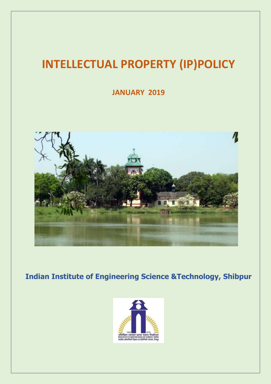## **INTELLECTUAL PROPERTY (IP)POLICY**

**JANUARY 2019**



**Indian Institute of Engineering Science &Technology, Shibpur**

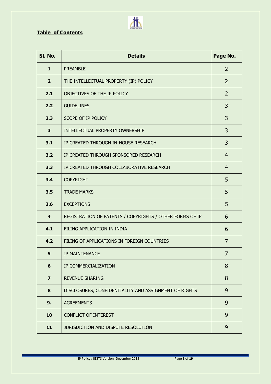## **Table of Contents**

| SI. No.                 | <b>Details</b>                                           | Page No.       |
|-------------------------|----------------------------------------------------------|----------------|
| $\mathbf{1}$            | <b>PREAMBLE</b>                                          | $\overline{2}$ |
| $\overline{2}$          | THE INTELLECTUAL PROPERTY (IP) POLICY                    | $\overline{2}$ |
| 2.1                     | OBJECTIVES OF THE IP POLICY                              | $\overline{2}$ |
| 2.2                     | <b>GUIDELINES</b>                                        | 3              |
| 2.3                     | SCOPE OF IP POLICY                                       | 3              |
| 3                       | INTELLECTUAL PROPERTY OWNERSHIP                          | 3              |
| 3.1                     | IP CREATED THROUGH IN-HOUSE RESEARCH                     | 3              |
| 3.2                     | IP CREATED THROUGH SPONSORED RESEARCH                    | $\overline{4}$ |
| 3.3                     | IP CREATED THROUGH COLLABORATIVE RESEARCH                | $\overline{4}$ |
| 3.4                     | <b>COPYRIGHT</b>                                         | 5              |
| 3.5                     | <b>TRADE MARKS</b>                                       | 5              |
| 3.6                     | <b>EXCEPTIONS</b>                                        | 5              |
| $\overline{\mathbf{4}}$ | REGISTRATION OF PATENTS / COPYRIGHTS / OTHER FORMS OF IP | 6              |
| 4.1                     | FILING APPLICATION IN INDIA                              | 6              |
| 4.2                     | FILING OF APPLICATIONS IN FOREIGN COUNTRIES              | $\overline{7}$ |
| 5.                      | IP MAINTENANCE                                           | $\overline{7}$ |
| $6\phantom{1}$          | IP COMMERCIALIZATION                                     | 8              |
| $\overline{\mathbf{z}}$ | <b>REVENUE SHARING</b>                                   | 8              |
| 8                       | DISCLOSURES, CONFIDENTIALITY AND ASSIGNMENT OF RIGHTS    | 9              |
| 9.                      | <b>AGREEMENTS</b>                                        | 9              |
| 10                      | <b>CONFLICT OF INTEREST</b>                              | 9              |
| 11                      | JURISDICTION AND DISPUTE RESOLUTION                      | 9              |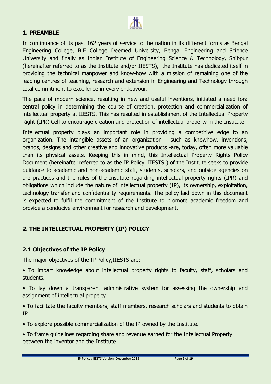

## **1. PREAMBLE**

In continuance of its past 162 years of service to the nation in its different forms as Bengal Engineering College, B.E College Deemed University, Bengal Engineering and Science University and finally as Indian Institute of Engineering Science & Technology, Shibpur (hereinafter referred to as the Institute and/or IIESTS), the Institute has dedicated itself in providing the technical manpower and know-how with a mission of remaining one of the leading centres of teaching, research and extension in Engineering and Technology through total commitment to excellence in every endeavour.

The pace of modern science, resulting in new and useful inventions, initiated a need fora central policy in determining the course of creation, protection and commercialization of intellectual property at IIESTS. This has resulted in establishment of the Intellectual Property Right (IPR) Cell to encourage creation and protection of intellectual property in the Institute.

Intellectual property plays an important role in providing a competitive edge to an organization. The intangible assets of an organization - such as knowhow, inventions, brands, designs and other creative and innovative products -are, today, often more valuable than its physical assets. Keeping this in mind, this Intellectual Property Rights Policy Document (hereinafter referred to as the IP Policy, IIESTS ) of the Institute seeks to provide guidance to academic and non-academic staff, students, scholars, and outside agencies on the practices and the rules of the Institute regarding intellectual property rights (IPR) and obligations which include the nature of intellectual property (IP), its ownership, exploitation, technology transfer and confidentiality requirements. The policy laid down in this document is expected to fulfil the commitment of the Institute to promote academic freedom and provide a conducive environment for research and development.

## **2. THE INTELLECTUAL PROPERTY (IP) POLICY**

## **2.1 Objectives of the IP Policy**

The major objectives of the IP Policy,IIESTS are:

• To impart knowledge about intellectual property rights to faculty, staff, scholars and students.

• To lay down a transparent administrative system for assessing the ownership and assignment of intellectual property.

• To facilitate the faculty members, staff members, research scholars and students to obtain IP.

• To explore possible commercialization of the IP owned by the Institute.

• To frame guidelines regarding share and revenue earned for the Intellectual Property between the inventor and the Institute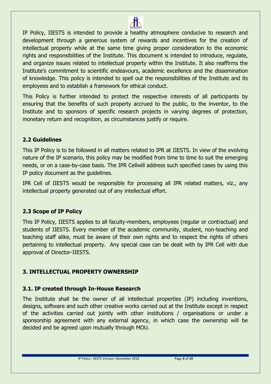

IP Policy, IIESTS is intended to provide a healthy atmosphere conducive to research and development through a generous system of rewards and incentives for the creation of intellectual property while at the same time giving proper consideration to the economic rights and responsibilities of the Institute. This document is intended to introduce, regulate, and organize issues related to intellectual property within the Institute. It also reaffirms the Institute's commitment to scientific endeavours, academic excellence and the dissemination of knowledge. This policy is intended to spell out the responsibilities of the Institute and its employees and to establish a framework for ethical conduct.

This Policy is further intended to protect the respective interests of all participants by ensuring that the benefits of such property accrued to the public, to the inventor, to the Institute and to sponsors of specific research projects in varying degrees of protection, monetary return and recognition, as circumstances justify or require.

## **2.2 Guidelines**

This IP Policy is to be followed in all matters related to IPR at IIESTS. In view of the evolving nature of the IP scenario, this policy may be modified from time to time to suit the emerging needs, or on a case-by-case basis. The IPR Cellwill address such specified cases by using this IP policy document as the guidelines.

IPR Cell of IIESTS would be responsible for processing all IPR related matters, viz., any intellectual property generated out of any intellectual effort.

## **2.3 Scope of IP Policy**

This IP Policy, IIESTS applies to all faculty-members, employees (regular or contractual) and students of IIESTS. Every member of the academic community, student, non-teaching and teaching staff alike, must be aware of their own rights and to respect the rights of others pertaining to intellectual property. Any special case can be dealt with by IPR Cell with due approval of Director-IIESTS.

## **3. INTELLECTUAL PROPERTY OWNERSHIP**

## **3.1. IP created through In-House Research**

The Institute shall be the owner of all intellectual properties (IP) including inventions, designs, software and such other creative works carried out at the Institute except in respect of the activities carried out jointly with other institutions / organisations or under a sponsorship agreement with any external agency, in which case the ownership will be decided and be agreed upon mutually through MOU.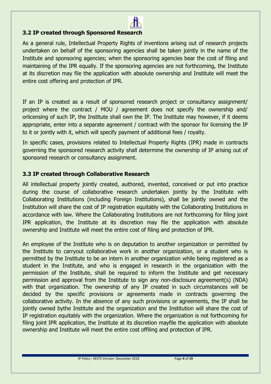

## **3.2 IP created through Sponsored Research**

As a general rule, Intellectual Property Rights of inventions arising out of research projects undertaken on behalf of the sponsoring agencies shall be taken jointly in the name of the Institute and sponsoring agencies; when the sponsoring agencies bear the cost of filing and maintaining of the IPR equally. If the sponsoring agencies are not forthcoming, the Institute at its discretion may file the application with absolute ownership and Institute will meet the entire cost offering and protection of IPR.

If an IP is created as a result of sponsored research project or consultancy assignment/ project where the contract / MOU / agreement does not specify the ownership and/ orlicensing of such IP, the Institute shall own the IP. The Institute may however, if it deems appropriate, enter into a separate agreement / contract with the sponsor for licensing the IP to it or jointly with it, which will specify payment of additional fees / royalty.

In specific cases, provisions related to Intellectual Property Rights (IPR) made in contracts governing the sponsored research activity shall determine the ownership of IP arising out of sponsored research or consultancy assignment.

## **3.3 IP created through Collaborative Research**

All intellectual property jointly created, authored, invented, conceived or put into practice during the course of collaborative research undertaken jointly by the Institute with Collaborating Institutions (including Foreign Institutions), shall be jointly owned and the Institution will share the cost of IP registration equitably with the Collaborating Institutions in accordance with law. Where the Collaborating Institutions are not forthcoming for filing joint IPR application, the Institute at its discretion may file the application with absolute ownership and Institute will meet the entire cost of filing and protection of IPR.

An employee of the Institute who is on deputation to another organization or permitted by the Institute to carryout collaborative work in another organization, or a student who is permitted by the Institute to be an intern in another organization while being registered as a student in the Institute, and who is engaged in research in the organization with the permission of the Institute, shall be required to inform the Institute and get necessary permission and approval from the Institute to sign any non-disclosure agreement(s) (NDA) with that organization. The ownership of any IP created in such circumstances will be decided by the specific provisions or agreements made in contracts governing the collaborative activity. In the absence of any such provisions or agreements, the IP shall be jointly owned bythe Institute and the organization and the Institution will share the cost of IP registration equitably with the organization. Where the organization is not forthcoming for filing joint IPR application, the Institute at its discretion mayfile the application with absolute ownership and Institute will meet the entire cost offiling and protection of IPR.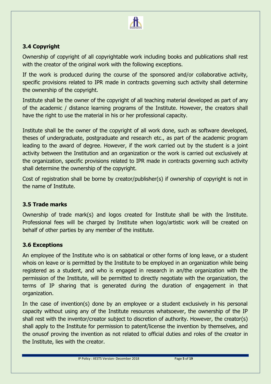

## **3.4 Copyright**

Ownership of copyright of all copyrightable work including books and publications shall rest with the creator of the original work with the following exceptions.

If the work is produced during the course of the sponsored and/or collaborative activity, specific provisions related to IPR made in contracts governing such activity shall determine the ownership of the copyright.

Institute shall be the owner of the copyright of all teaching material developed as part of any of the academic / distance learning programs of the Institute. However, the creators shall have the right to use the material in his or her professional capacity.

Institute shall be the owner of the copyright of all work done, such as software developed, theses of undergraduate, postgraduate and research etc., as part of the academic program leading to the award of degree. However, if the work carried out by the student is a joint activity between the Institution and an organization or the work is carried out exclusively at the organization, specific provisions related to IPR made in contracts governing such activity shall determine the ownership of the copyright.

Cost of registration shall be borne by creator/publisher(s) if ownership of copyright is not in the name of Institute.

## **3.5 Trade marks**

Ownership of trade mark(s) and logos created for Institute shall be with the Institute. Professional fees will be charged by Institute when logo/artistic work will be created on behalf of other parties by any member of the institute.

## **3.6 Exceptions**

An employee of the Institute who is on sabbatical or other forms of long leave, or a student whois on leave or is permitted by the Institute to be employed in an organization while being registered as a student, and who is engaged in research in an/the organization with the permission of the Institute, will be permitted to directly negotiate with the organization, the terms of IP sharing that is generated during the duration of engagement in that organization.

In the case of invention(s) done by an employee or a student exclusively in his personal capacity without using any of the Institute resources whatsoever, the ownership of the IP shall rest with the inventor/creator subject to discretion of authority. However, the creator(s) shall apply to the Institute for permission to patent/license the invention by themselves, and the onusof proving the invention as not related to official duties and roles of the creator in the Institute, lies with the creator.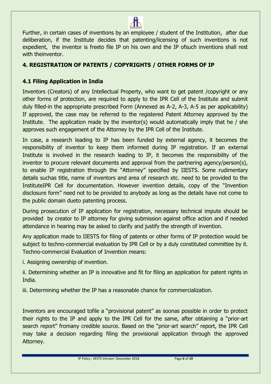

## **4. REGISTRATION OF PATENTS / COPYRIGHTS / OTHER FORMS OF IP**

## **4.1 Filing Application in India**

Inventors (Creators) of any Intellectual Property, who want to get patent /copyright or any other forms of protection, are required to apply to the IPR Cell of the Institute and submit duly filled-in the appropriate prescribed Form (Annexed as A-2, A-3, A-5 as per applicability) If approved, the case may be referred to the registered Patent Attorney approved by the Institute. The application made by the inventor(s) would automatically imply that he / she approves such engagement of the Attorney by the IPR Cell of the Institute.

In case, a research leading to IP has been funded by external agency, it becomes the responsibility of inventor to keep them informed during IP registration. If an external Institute is involved in the research leading to IP, it becomes the responsibility of the inventor to procure relevant documents and approval from the partnering agency/person(s), to enable IP registration through the "Attorney" specified by IIESTS. Some rudimentary details suchas title, name of inventors and area of research etc. need to be provided to the InstituteIPR Cell for documentation. However invention details, copy of the "Invention disclosure form" need not to be provided to anybody as long as the details have not come to the public domain dueto patenting process.

During prosecution of IP application for registration, necessary technical impute should be provided by creator to IP attorney for giving submission against office action and if needed attendance in hearing may be asked to clarify and justify the strength of invention.

Any application made to IIESTS for filing of patents or other forms of IP protection would be subject to techno-commercial evaluation by IPR Cell or by a duly constituted committee by it. Techno-commercial Evaluation of Invention means:

i. Assigning ownership of invention.

ii. Determining whether an IP is innovative and fit for filing an application for patent rights in India.

iii. Determining whether the IP has a reasonable chance for commercialization.

Inventors are encouraged tofile a "provisional patent" as soonas possible in order to protect their rights to the IP and apply to the IPR Cell for the same, after obtaining a "prior-art search report" fromany credible source. Based on the "prior-art search" report, the IPR Cell may take a decision regarding filing the provisional application through the approved Attorney.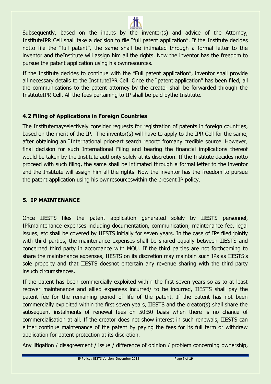

Subsequently, based on the inputs by the inventor(s) and advice of the Attorney, InstituteIPR Cell shall take a decision to file "full patent application". If the Institute decides notto file the "full patent", the same shall be intimated through a formal letter to the inventor and theInstitute will assign him all the rights. Now the inventor has the freedom to pursue the patent application using his ownresources.

If the Institute decides to continue with the "Full patent application", inventor shall provide all necessary details to the InstituteIPR Cell. Once the "patent application" has been filed, all the communications to the patent attorney by the creator shall be forwarded through the InstituteIPR Cell. All the fees pertaining to IP shall be paid bythe Institute.

## **4.2 Filing of Applications in Foreign Countries**

The Institutemayselectively consider requests for registration of patents in foreign countries, based on the merit of the IP. The inventor(s) will have to apply to the IPR Cell for the same, after obtaining an "International prior-art search report" fromany credible source. However, final decision for such International Filing and bearing the financial implications thereof would be taken by the Institute authority solely at its discretion. If the Institute decides notto proceed with such filing, the same shall be intimated through a formal letter to the inventor and the Institute will assign him all the rights. Now the inventor has the freedom to pursue the patent application using his ownresourceswithin the present IP policy.

## **5. IP MAINTENANCE**

Once IIESTS files the patent application generated solely by IIESTS personnel, IPRmaintenance expenses including documentation, communication, maintenance fee, legal issues, etc shall be covered by IIESTS initially for seven years. In the case of IPs filed jointly with third parties, the maintenance expenses shall be shared equally between IIESTS and concerned third party in accordance with MOU. If the third parties are not forthcoming to share the maintenance expenses, IIESTS on its discretion may maintain such IPs as IIESTS's sole property and that IIESTS doesnot entertain any revenue sharing with the third party insuch circumstances.

If the patent has been commercially exploited within the first seven years so as to at least recover maintenance and allied expenses incurred/ to be incurred, IIESTS shall pay the patent fee for the remaining period of life of the patent. If the patent has not been commercially exploited within the first seven years, IIESTS and the creator(s) shall share the subsequent instalments of renewal fees on 50:50 basis when there is no chance of commercialisation at all. If the creator does not show interest in such renewals, IIESTS can either continue maintenance of the patent by paying the fees for its full term or withdraw application for patent protection at its discretion.

Any litigation / disagreement / issue / difference of opinion / problem concerning ownership,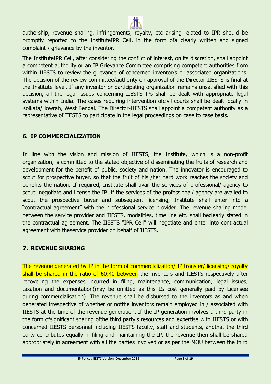

The InstituteIPR Cell, after considering the conflict of interest, on its discretion, shall appoint a competent authority or an IP Grievance Committee comprising competent authorities from within IIESTS to review the grievance of concerned inventor/s or associated organizations. The decision of the review committee/authority on approval of the Director-IIESTS is final at the Institute level. If any inventor or participating organization remains unsatisfied with this decision, all the legal issues concerning IIESTS IPs shall be dealt with appropriate legal systems within India. The cases requiring intervention ofcivil courts shall be dealt locally in Kolkata/Howrah, West Bengal. The Director-IIESTS shall appoint a competent authority as a representative of IIESTS to participate in the legal proceedings on case to case basis.

## **6. IP COMMERCIALIZATION**

In line with the vision and mission of IIESTS, the Institute, which is a non-profit organization, is committed to the stated objective of disseminating the fruits of research and development for the benefit of public, society and nation. The innovator is encouraged to scout for prospective buyer, so that the fruit of his /her hard work reaches the society and benefits the nation. If required, Institute shall avail the services of professional/ agency to scout, negotiate and license the IP. If the services of the professional/ agency are availed to scout the prospective buyer and subsequent licensing, Institute shall enter into a "contractual agreement" with the professional service provider. The revenue sharing model between the service provider and IIESTS, modalities, time line etc. shall beclearly stated in the contractual agreement. The IIESTS "IPR Cell" will negotiate and enter into contractual agreement with theservice provider on behalf of IIESTS.

## **7. REVENUE SHARING**

The revenue generated by IP in the form of commercialization/ IP transfer/ licensing/ royalty shall be shared in the ratio of 60:40 between the inventors and IIESTS respectively after recovering the expenses incurred in filing, maintenance, communication, legal issues, taxation and documentation(may be omitted as this LS cost generally paid by Licensee during commercialisation). The revenue shall be disbursed to the inventors as and when generated irrespective of whether or notthe inventors remain employed in / associated with IIESTS at the time of the revenue generation. If the IP generation involves a third party in the form ofsignificant sharing ofthe third party's resources and expertise with IIESTS or with concerned IIESTS personnel including IIESTS faculty, staff and students, andthat the third party contributes equally in filing and maintaining the IP, the revenue then shall be shared appropriately in agreement with all the parties involved or as per the MOU between the third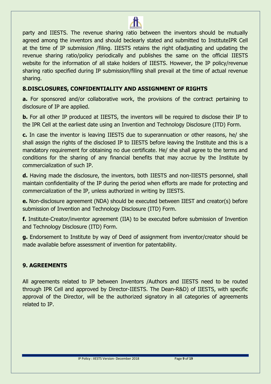

party and IIESTS. The revenue sharing ratio between the inventors should be mutually agreed among the inventors and should beclearly stated and submitted to InstituteIPR Cell at the time of IP submission /filing. IIESTS retains the right ofadjusting and updating the revenue sharing ratio/policy periodically and publishes the same on the official IIESTS website for the information of all stake holders of IIESTS. However, the IP policy/revenue sharing ratio specified during IP submission/filing shall prevail at the time of actual revenue sharing.

## **8.DISCLOSURES, CONFIDENTIALITY AND ASSIGNMENT OF RIGHTS**

**a.** For sponsored and/or collaborative work, the provisions of the contract pertaining to disclosure of IP are applied.

**b.** For all other IP produced at IIESTS, the inventors will be required to disclose their IP to the IPR Cell at the earliest date using an Invention and Technology Disclosure (ITD) Form.

**c.** In case the inventor is leaving IIESTS due to superannuation or other reasons, he/ she shall assign the rights of the disclosed IP to IIESTS before leaving the Institute and this is a mandatory requirement for obtaining no due certificate. He/ she shall agree to the terms and conditions for the sharing of any financial benefits that may accrue by the Institute by commercialization of such IP.

**d.** Having made the disclosure, the inventors, both IIESTS and non-IIESTS personnel, shall maintain confidentiality of the IP during the period when efforts are made for protecting and commercialization of the IP, unless authorized in writing by IIESTS.

**e.** Non-disclosure agreement (NDA) should be executed between IIEST and creator(s) before submission of Invention and Technology Disclosure (ITD) Form.

**f.** Institute-Creator/inventor agreement (IIA) to be executed before submission of Invention and Technology Disclosure (ITD) Form.

**g.** Endorsement to Institute by way of Deed of assignment from inventor/creator should be made available before assessment of invention for patentability.

## **9. AGREEMENTS**

All agreements related to IP between Inventors /Authors and IIESTS need to be routed through IPR Cell and approved by Director-IIESTS. The Dean-R&D) of IIESTS, with specific approval of the Director, will be the authorized signatory in all categories of agreements related to IP.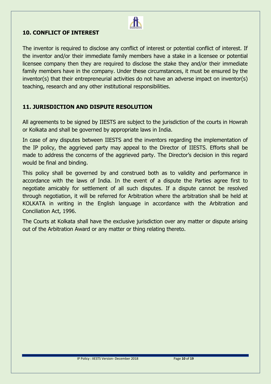

## **10. CONFLICT OF INTEREST**

The inventor is required to disclose any conflict of interest or potential conflict of interest. If the inventor and/or their immediate family members have a stake in a licensee or potential licensee company then they are required to disclose the stake they and/or their immediate family members have in the company. Under these circumstances, it must be ensured by the inventor(s) that their entrepreneurial activities do not have an adverse impact on inventor(s) teaching, research and any other institutional responsibilities.

## **11. JURISDICTION AND DISPUTE RESOLUTION**

All agreements to be signed by IIESTS are subject to the jurisdiction of the courts in Howrah or Kolkata and shall be governed by appropriate laws in India.

In case of any disputes between IIESTS and the inventors regarding the implementation of the IP policy, the aggrieved party may appeal to the Director of IIESTS. Efforts shall be made to address the concerns of the aggrieved party. The Director's decision in this regard would be final and binding.

This policy shall be governed by and construed both as to validity and performance in accordance with the laws of India. In the event of a dispute the Parties agree first to negotiate amicably for settlement of all such disputes. If a dispute cannot be resolved through negotiation, it will be referred for Arbitration where the arbitration shall be held at KOLKATA in writing in the English language in accordance with the Arbitration and Conciliation Act, 1996.

The Courts at Kolkata shall have the exclusive jurisdiction over any matter or dispute arising out of the Arbitration Award or any matter or thing relating thereto.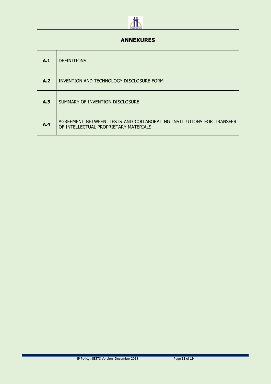# 

| <b>ANNEXURES</b> |                                                                                                               |  |  |  |
|------------------|---------------------------------------------------------------------------------------------------------------|--|--|--|
| A.1              | <b>DEFINITIONS</b>                                                                                            |  |  |  |
| A.2              | INVENTION AND TECHNOLOGY DISCLOSURE FORM                                                                      |  |  |  |
| A.3              | SUMMARY OF INVENTION DISCLOSURE                                                                               |  |  |  |
| A.4              | AGREEMENT BETWEEN IIESTS AND COLLABORATING INSTITUTIONS FOR TRANSFER<br>OF INTELLECTUAL PROPRIETARY MATERIALS |  |  |  |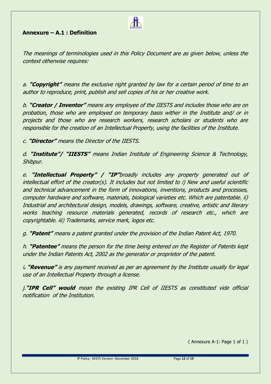## **Annexure – A.1 : Definition**

The meanings of terminologies used in this Policy Document are as given below, unless the context otherwise requires:

**TW** 

a. **"Copyright"** means the exclusive right granted by law for a certain period of time to an author to reproduce, print, publish and sell copies of his or her creative work.

b. **"Creator / Inventor"** means any employee of the IIESTS and includes those who are on probation, those who are employed on temporary basis wither in the Institute and/ or in projects and those who are research workers, research scholars or students who are responsible for the creation of an Intellectual Property, using the facilities of the Institute.

c. **"Director"** means the Director of the IIESTS.

d. **"Institute"/ "IIESTS"** means Indian Institute of Engineering Science & Technology, Shibpur.

e. **"Intellectual Property" / "IP"**broadly includes any property generated out of intellectual effort of the creator(s). It includes but not limited to i) New and useful scientific and technical advancement in the form of innovations, inventions, products and processes, computer hardware and software, materials, biological varieties etc. Which are patentable. ii) Industrial and architectural design, models, drawings, software, creative, artistic and literary works teaching resource materials generated, records of research etc., which are copyrightable. iii) Trademarks, service mark, logos etc.

g. **"Patent"** means a patent granted under the provision of the Indian Patent Act, 1970.

h. **"Patentee"** means the person for the time being entered on the Register of Patents kept under the Indian Patents Act, 2002 as the generator or proprietor of the patent.

i**. "Revenue"** is any payment received as per an agreement by the Institute usually for legal use of an Intellectual Property through a license.

j.**"IPR Cell" would** mean the existing IPR Cell of IIESTS as constituted vide official notification of the Institution.

( Annexure A-1: Page 1 of 1 )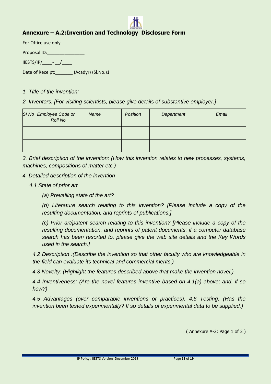## **Annexure – A.2:Invention and Technology Disclosure Form**

For Office use only

Proposal ID:

 $\overline{\text{IIESTS/IP}/\text{I}}$  - /

Date of Receipt:\_\_\_\_\_\_\_ (Acadyr) (Sl.No.)1

#### *1. Title of the invention:*

*2. Inventors: [For visiting scientists, please give details of substantive employer.]*

| SI No Employee Code or<br>Roll No | Name | Position | Department | Email |
|-----------------------------------|------|----------|------------|-------|
|                                   |      |          |            |       |
|                                   |      |          |            |       |

*3. Brief description of the invention: (How this invention relates to new processes, systems, machines, compositions of matter etc.)* 

#### *4. Detailed description of the invention*

*4.1 State of prior art* 

*(a) Prevailing state of the art?* 

*(b) Literature search relating to this invention? [Please include a copy of the resulting documentation, and reprints of publications.]* 

*(c) Prior art/patent search relating to this invention? [Please include a copy of the resulting documentation, and reprints of patent documents: if a computer database search has been resorted to, please give the web site details and the Key Words used in the search.]* 

*4.2 Description :(Describe the invention so that other faculty who are knowledgeable in the field can evaluate its technical and commercial merits.)* 

*4.3 Novelty: (Highlight the features described above that make the invention novel.)* 

*4.4 Inventiveness: (Are the novel features inventive based on 4.1(a) above; and, if so how?)* 

*4.5 Advantages (over comparable inventions or practices): 4.6 Testing: (Has the invention been tested experimentally? If so details of experimental data to be supplied.)* 

( Annexure A-2: Page 1 of 3 )

IP Policy : IIESTS Version- December 2018 Page **13** of **19**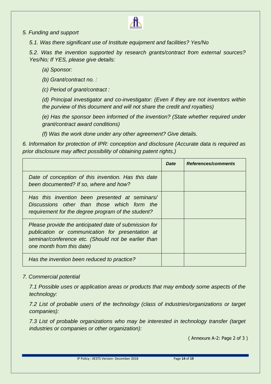#### *5. Funding and support*

*5.1. Was there significant use of Institute equipment and facilities? Yes/No* 

*5.2. Was the invention supported by research grants/contract from external sources? Yes/No; If YES, please give details:* 

**The Second Second** 

*(a) Sponsor:* 

*(b) Grant/contract no. :* 

*(c) Period of grant/contract :*

*(d) Principal investigator and co-investigator: (Even if they are not inventors within the purview of this document and will not share the credit and royalties)* 

*(e) Has the sponsor been informed of the invention? (State whether required under grant/contract award conditions)* 

*(f) Was the work done under any other agreement? Give details.* 

*6. Information for protection of IPR: conception and disclosure (Accurate data is required as prior disclosure may affect possibility of obtaining patent rights.)*

|                                                                                                                                                                                               | <b>Date</b> | References/comments |
|-----------------------------------------------------------------------------------------------------------------------------------------------------------------------------------------------|-------------|---------------------|
| Date of conception of this invention. Has this date<br>been documented? If so, where and how?                                                                                                 |             |                     |
| Has this invention been presented at seminars/<br>Discussions other than those which form the<br>requirement for the degree program of the student?                                           |             |                     |
| Please provide the anticipated date of submission for<br>publication or communication for presentation at<br>seminar/conference etc. (Should not be earlier than<br>one month from this date) |             |                     |
| Has the invention been reduced to practice?                                                                                                                                                   |             |                     |

#### *7. Commercial potential*

*7.1 Possible uses or application areas or products that may embody some aspects of the technology:* 

*7.2 List of probable users of the technology (class of industries/organizations or target companies):* 

*7.3 List of probable organizations who may be interested in technology transfer (target industries or companies or other organization):*

( Annexure A-2: Page 2 of 3 )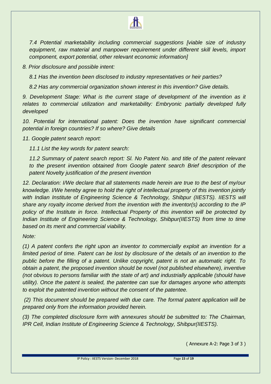

*7.4 Potential marketability including commercial suggestions [viable size of industry equipment, raw material and manpower requirement under different skill levels, import component, export potential, other relevant economic information]* 

*8. Prior disclosure and possible intent:* 

*8.1 Has the invention been disclosed to industry representatives or heir parties?* 

*8.2 Has any commercial organization shown interest in this invention? Give details.* 

*9. Development Stage: What is the current stage of development of the invention as it relates to commercial utilization and marketability: Embryonic partially developed fully developed* 

*10. Potential for international patent: Does the invention have significant commercial potential in foreign countries? If so where? Give details*

*11. Google patent search report:* 

*11.1 List the key words for patent search:* 

*11.2 Summary of patent search report: Sl. No Patent No. and title of the patent relevant to the present invention obtained from Google patent search Brief description of the patent Novelty justification of the present invention* 

*12. Declaration: I/We declare that all statements made herein are true to the best of my/our knowledge. I/We hereby agree to hold the right of intellectual property of this invention jointly with Indian Institute of Engineering Science & Technology, Shibpur (IIESTS). IIESTS will share any royalty income derived from the invention with the inventor(s) according to the IP policy of the Institute in force. Intellectual Property of this invention will be protected by Indian Institute of Engineering Science & Technology, Shibpur(IIESTS) from time to time based on its merit and commercial viability.*

*Note:* 

*(1) A patent confers the right upon an inventor to commercially exploit an invention for a*  limited period of time. Patent can be lost by disclosure of the details of an invention to the *public before the filling of a patent. Unlike copyright, patent is not an automatic right. To obtain a patent, the proposed invention should be novel (not published elsewhere), inventive (not obvious to persons familiar with the state of art) and industrially applicable (should have utility). Once the patent is sealed, the patentee can sue for damages anyone who attempts to exploit the patented invention without the consent of the patentee.*

*(2) This document should be prepared with due care. The formal patent application will be prepared only from the information provided herein.*

*(3) The completed disclosure form with annexures should be submitted to: The Chairman, IPR Cell, Indian Institute of Engineering Science & Technology, Shibpur(IIESTS).*

( Annexure A-2: Page 3 of 3 )

IP Policy : IIESTS Version- December 2018 Page **15** of **19**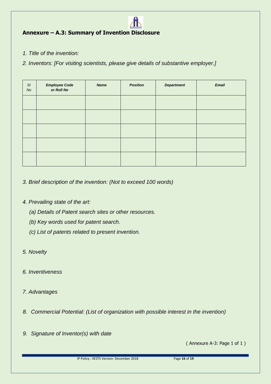## **Annexure – A.3: Summary of Invention Disclosure**

*1. Title of the invention:* 

*2. Inventors: [For visiting scientists, please give details of substantive employer.]*

| $\mathsf{S}I$<br>No | <b>Employee Code</b><br>or Roll No | <b>Name</b> | <b>Position</b> | <b>Department</b> | <b>Email</b> |
|---------------------|------------------------------------|-------------|-----------------|-------------------|--------------|
|                     |                                    |             |                 |                   |              |
|                     |                                    |             |                 |                   |              |
|                     |                                    |             |                 |                   |              |
|                     |                                    |             |                 |                   |              |
|                     |                                    |             |                 |                   |              |

- *3. Brief description of the invention: (Not to exceed 100 words)*
- *4. Prevailing state of the art:* 
	- *(a) Details of Patent search sites or other resources.*
	- *(b) Key words used for patent search.*
	- *(c) List of patents related to present invention.*
- *5. Novelty*
- *6. Inventiveness*
- *7. Advantages*
- *8. Commercial Potential: (List of organization with possible interest in the invention)*
- *9. Signature of Inventor(s) with date*

( Annexure A-3: Page 1 of 1 )

IP Policy : IIESTS Version- December 2018 Page **16** of **19**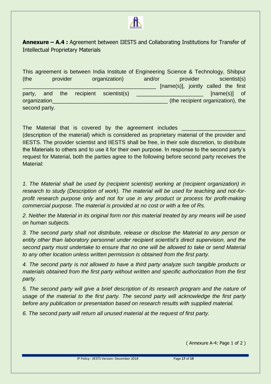

**Annexure – A.4 :** Agreement between IIESTS and Collaborating Institutions for Transfer of Intellectual Proprietary Materials

This agreement is between India Institute of Engineering Science & Technology, Shibpur (the provider organization) and/or provider scientist(s)  $\_$  [name(s)], jointly called the first party, and the recipient scientist(s)  $\blacksquare$  [name(s)] of organization\_\_\_\_\_\_\_\_\_\_\_\_\_\_\_\_\_\_\_\_\_\_\_\_\_\_\_\_\_\_\_\_\_\_\_\_\_\_ (the recipient organization), the second party.

The Material that is covered by the agreement includes (description of the material) which is considered as proprietary material of the provider and IIESTS. The provider scientist and IIESTS shall be free, in their sole discretion, to distribute the Materials to others and to use it for their own purpose. In response to the second party's request for Material, both the parties agree to the following before second party receives the Material:

*1. The Material shall be used by (recipient scientist) working at (recipient organization) in research to study (Description of work). The material will be used for teaching and not-forprofit research purpose only and not for use in any product or process for profit-making commercial purpose. The material is provided at no cost or with a fee of Rs.* 

*2. Neither the Material in its original form nor this material treated by any means will be used on human subjects.* 

*3. The second party shall not distribute, release or disclose the Material to any person or entity other than laboratory personnel under recipient scientist's direct supervision, and the second party must undertake to ensure that no one will be allowed to take or send Material to any other location unless written permission is obtained from the first party.* 

*4. The second party is not allowed to have a third party analyze such tangible products or materials obtained from the first party without written and specific authorization from the first party.* 

*5. The second party will give a brief description of its research program and the nature of usage of the material to the first party. The second party will acknowledge the first party before any publication or presentation based on research results with supplied material.*

*6. The second party will return all unused material at the request of first party.* 

( Annexure A-4: Page 1 of 2 )

IP Policy : IIESTS Version- December 2018 Page **17** of **19**